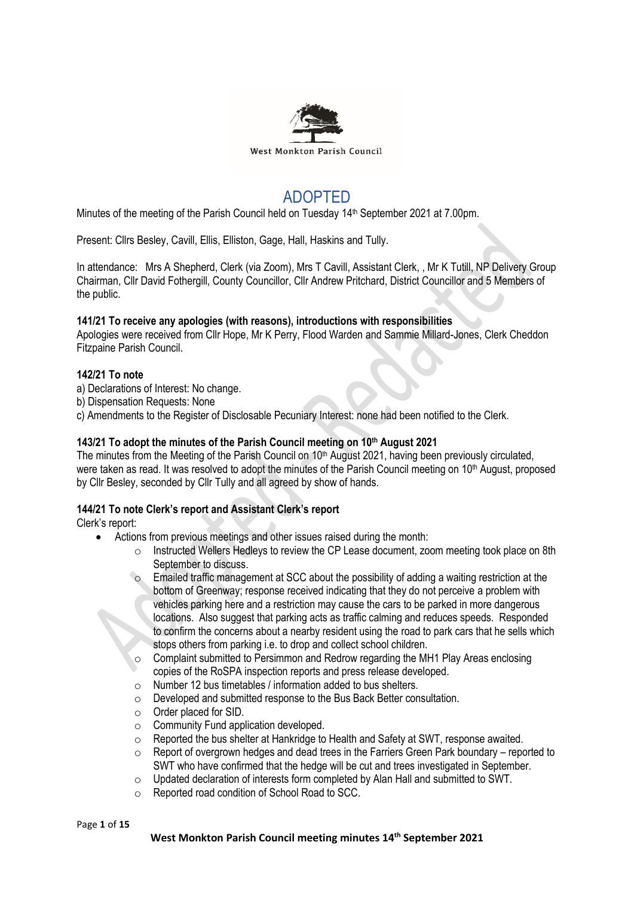

# ADOPTED

Minutes of the meeting of the Parish Council held on Tuesday 14<sup>th</sup> September 2021 at 7.00pm.

Present: Cllrs Besley, Cavill, Ellis, Elliston, Gage, Hall, Haskins and Tully.

In attendance: Mrs A Shepherd, Clerk (via Zoom), Mrs T Cavill, Assistant Clerk, , Mr K Tutill, NP Delivery Group Chairman, Cllr David Fothergill, County Councillor, Cllr Andrew Pritchard, District Councillor and 5 Members of the public.

# **141/21 To receive any apologies (with reasons), introductions with responsibilities**

Apologies were received from Cllr Hope, Mr K Perry, Flood Warden and Sammie Millard-Jones, Clerk Cheddon Fitzpaine Parish Council.

# **142/21 To note**

- a) Declarations of Interest: No change.
- b) Dispensation Requests: None
- c) Amendments to the Register of Disclosable Pecuniary Interest: none had been notified to the Clerk.

# **143/21 To adopt the minutes of the Parish Council meeting on 10th August 2021**

The minutes from the Meeting of the Parish Council on 10<sup>th</sup> August 2021, having been previously circulated, were taken as read. It was resolved to adopt the minutes of the Parish Council meeting on 10<sup>th</sup> August, proposed by Cllr Besley, seconded by Cllr Tully and all agreed by show of hands.

# **144/21 To note Clerk's report and Assistant Clerk's report**

Clerk's report:

- Actions from previous meetings and other issues raised during the month:
	- o Instructed Wellers Hedleys to review the CP Lease document, zoom meeting took place on 8th September to discuss.
	- $\circ$  Emailed traffic management at SCC about the possibility of adding a waiting restriction at the bottom of Greenway; response received indicating that they do not perceive a problem with vehicles parking here and a restriction may cause the cars to be parked in more dangerous locations. Also suggest that parking acts as traffic calming and reduces speeds. Responded to confirm the concerns about a nearby resident using the road to park cars that he sells which stops others from parking i.e. to drop and collect school children.
	- o Complaint submitted to Persimmon and Redrow regarding the MH1 Play Areas enclosing copies of the RoSPA inspection reports and press release developed.
	- o Number 12 bus timetables / information added to bus shelters.
	- o Developed and submitted response to the Bus Back Better consultation.
	- o Order placed for SID.
	- o Community Fund application developed.
	- o Reported the bus shelter at Hankridge to Health and Safety at SWT, response awaited.
	- o Report of overgrown hedges and dead trees in the Farriers Green Park boundary reported to SWT who have confirmed that the hedge will be cut and trees investigated in September.
	- o Updated declaration of interests form completed by Alan Hall and submitted to SWT.
	- o Reported road condition of School Road to SCC.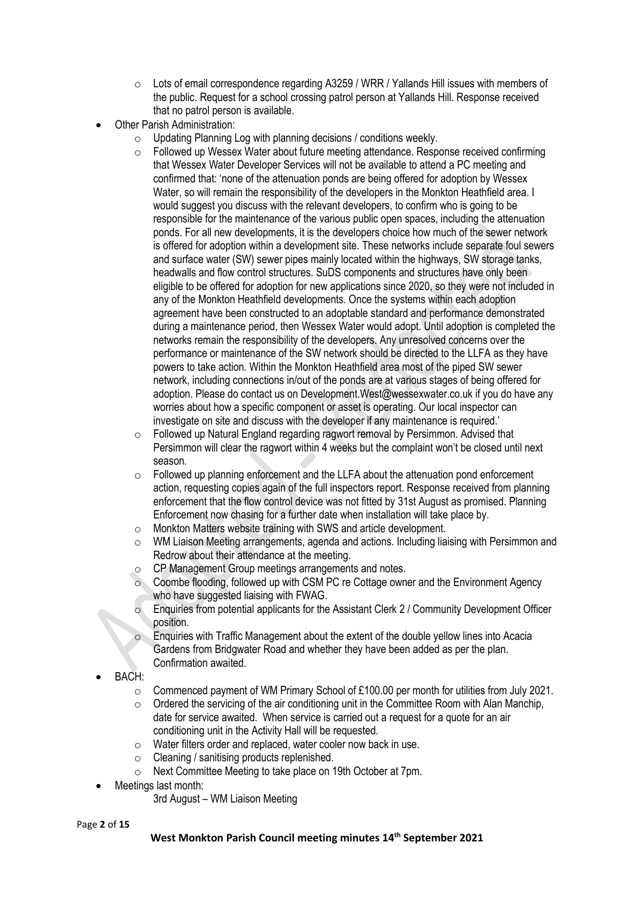- $\circ$  Lots of email correspondence regarding A3259 / WRR / Yallands Hill issues with members of the public. Request for a school crossing patrol person at Yallands Hill. Response received that no patrol person is available.
- Other Parish Administration:
	- $\circ$  Updating Planning Log with planning decisions / conditions weekly.
	- o Followed up Wessex Water about future meeting attendance. Response received confirming that Wessex Water Developer Services will not be available to attend a PC meeting and confirmed that: 'none of the attenuation ponds are being offered for adoption by Wessex Water, so will remain the responsibility of the developers in the Monkton Heathfield area. I would suggest you discuss with the relevant developers, to confirm who is going to be responsible for the maintenance of the various public open spaces, including the attenuation ponds. For all new developments, it is the developers choice how much of the sewer network is offered for adoption within a development site. These networks include separate foul sewers and surface water (SW) sewer pipes mainly located within the highways, SW storage tanks, headwalls and flow control structures. SuDS components and structures have only been eligible to be offered for adoption for new applications since 2020, so they were not included in any of the Monkton Heathfield developments. Once the systems within each adoption agreement have been constructed to an adoptable standard and performance demonstrated during a maintenance period, then Wessex Water would adopt. Until adoption is completed the networks remain the responsibility of the developers. Any unresolved concerns over the performance or maintenance of the SW network should be directed to the LLFA as they have powers to take action. Within the Monkton Heathfield area most of the piped SW sewer network, including connections in/out of the ponds are at various stages of being offered for adoption. Please do contact us on Development.West@wessexwater.co.uk if you do have any worries about how a specific component or asset is operating. Our local inspector can investigate on site and discuss with the developer if any maintenance is required.'
	- $\circ$  Followed up Natural England regarding ragwort removal by Persimmon. Advised that Persimmon will clear the ragwort within 4 weeks but the complaint won't be closed until next season.
	- $\circ$  Followed up planning enforcement and the LLFA about the attenuation pond enforcement action, requesting copies again of the full inspectors report. Response received from planning enforcement that the flow control device was not fitted by 31st August as promised. Planning Enforcement now chasing for a further date when installation will take place by.
	- o Monkton Matters website training with SWS and article development.
	- o WM Liaison Meeting arrangements, agenda and actions. Including liaising with Persimmon and Redrow about their attendance at the meeting.
	- o CP Management Group meetings arrangements and notes.
	- Coombe flooding, followed up with CSM PC re Cottage owner and the Environment Agency who have suggested liaising with FWAG.
	- o Enquiries from potential applicants for the Assistant Clerk 2 / Community Development Officer position.
	- $\circ$  Enquiries with Traffic Management about the extent of the double yellow lines into Acacia Gardens from Bridgwater Road and whether they have been added as per the plan. Confirmation awaited.
- BACH:
	- $\circ$  Commenced payment of WM Primary School of £100.00 per month for utilities from July 2021.
	- o Ordered the servicing of the air conditioning unit in the Committee Room with Alan Manchip, date for service awaited. When service is carried out a request for a quote for an air conditioning unit in the Activity Hall will be requested.
	- o Water filters order and replaced, water cooler now back in use.
	- o Cleaning / sanitising products replenished.
	- o Next Committee Meeting to take place on 19th October at 7pm.
- Meetings last month:
	- 3rd August WM Liaison Meeting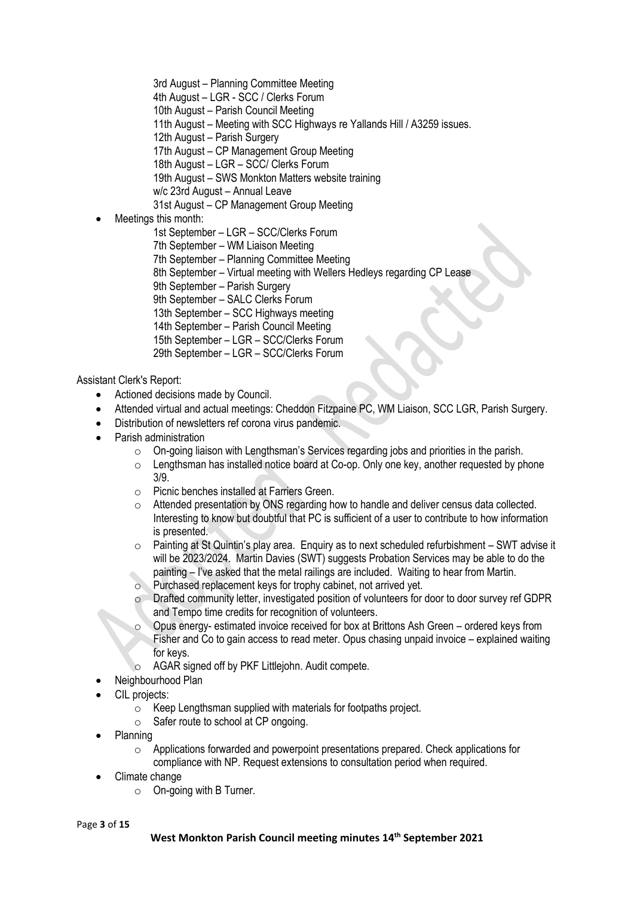3rd August – Planning Committee Meeting

4th August – LGR - SCC / Clerks Forum

10th August – Parish Council Meeting

11th August – Meeting with SCC Highways re Yallands Hill / A3259 issues.

12th August – Parish Surgery

17th August – CP Management Group Meeting

18th August – LGR – SCC/ Clerks Forum

19th August – SWS Monkton Matters website training

w/c 23rd August – Annual Leave

31st August – CP Management Group Meeting

Meetings this month:

1st September – LGR – SCC/Clerks Forum

7th September – WM Liaison Meeting

7th September – Planning Committee Meeting

8th September – Virtual meeting with Wellers Hedleys regarding CP Lease

9th September – Parish Surgery

9th September – SALC Clerks Forum

13th September – SCC Highways meeting

14th September – Parish Council Meeting

15th September – LGR – SCC/Clerks Forum

29th September – LGR – SCC/Clerks Forum

Assistant Clerk's Report:

- Actioned decisions made by Council.
- Attended virtual and actual meetings: Cheddon Fitzpaine PC, WM Liaison, SCC LGR, Parish Surgery.
- Distribution of newsletters ref corona virus pandemic.
- Parish administration
	- o On-going liaison with Lengthsman's Services regarding jobs and priorities in the parish.
	- $\circ$  Lengthsman has installed notice board at Co-op. Only one key, another requested by phone 3/9.
	- o Picnic benches installed at Farriers Green.
	- $\circ$  Attended presentation by ONS regarding how to handle and deliver census data collected. Interesting to know but doubtful that PC is sufficient of a user to contribute to how information is presented.

 $\circ$  Painting at St Quintin's play area. Enquiry as to next scheduled refurbishment – SWT advise it will be 2023/2024. Martin Davies (SWT) suggests Probation Services may be able to do the painting – I've asked that the metal railings are included. Waiting to hear from Martin.

- Purchased replacement keys for trophy cabinet, not arrived yet.
- o Drafted community letter, investigated position of volunteers for door to door survey ref GDPR and Tempo time credits for recognition of volunteers.
- o Opus energy- estimated invoice received for box at Brittons Ash Green ordered keys from Fisher and Co to gain access to read meter. Opus chasing unpaid invoice – explained waiting for keys.
- AGAR signed off by PKF Littlejohn. Audit compete.
- Neighbourhood Plan
- CIL projects:
	- $\circ$  Keep Lengthsman supplied with materials for footpaths project.
	- o Safer route to school at CP ongoing.
- Planning
	- o Applications forwarded and powerpoint presentations prepared. Check applications for compliance with NP. Request extensions to consultation period when required.
- Climate change
	- o On-going with B Turner.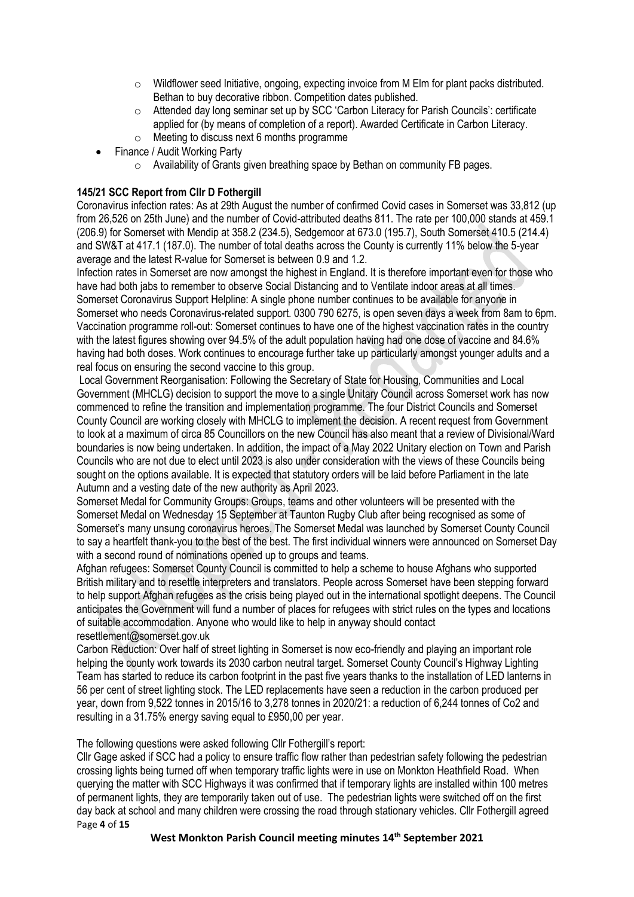- $\circ$  Wildflower seed Initiative, ongoing, expecting invoice from M Elm for plant packs distributed. Bethan to buy decorative ribbon. Competition dates published.
- o Attended day long seminar set up by SCC 'Carbon Literacy for Parish Councils': certificate applied for (by means of completion of a report). Awarded Certificate in Carbon Literacy.
- $\circ$  Meeting to discuss next 6 months programme
- Finance / Audit Working Party
	- o Availability of Grants given breathing space by Bethan on community FB pages.

# **145/21 SCC Report from Cllr D Fothergill**

Coronavirus infection rates: As at 29th August the number of confirmed Covid cases in Somerset was 33,812 (up from 26,526 on 25th June) and the number of Covid-attributed deaths 811. The rate per 100,000 stands at 459.1 (206.9) for Somerset with Mendip at 358.2 (234.5), Sedgemoor at 673.0 (195.7), South Somerset 410.5 (214.4) and SW&T at 417.1 (187.0). The number of total deaths across the County is currently 11% below the 5-year average and the latest R-value for Somerset is between 0.9 and 1.2.

Infection rates in Somerset are now amongst the highest in England. It is therefore important even for those who have had both jabs to remember to observe Social Distancing and to Ventilate indoor areas at all times. Somerset Coronavirus Support Helpline: A single phone number continues to be available for anyone in Somerset who needs Coronavirus-related support. 0300 790 6275, is open seven days a week from 8am to 6pm. Vaccination programme roll-out: Somerset continues to have one of the highest vaccination rates in the country with the latest figures showing over 94.5% of the adult population having had one dose of vaccine and 84.6% having had both doses. Work continues to encourage further take up particularly amongst younger adults and a real focus on ensuring the second vaccine to this group.

Local Government Reorganisation: Following the Secretary of State for Housing, Communities and Local Government (MHCLG) decision to support the move to a single Unitary Council across Somerset work has now commenced to refine the transition and implementation programme. The four District Councils and Somerset County Council are working closely with MHCLG to implement the decision. A recent request from Government to look at a maximum of circa 85 Councillors on the new Council has also meant that a review of Divisional/Ward boundaries is now being undertaken. In addition, the impact of a May 2022 Unitary election on Town and Parish Councils who are not due to elect until 2023 is also under consideration with the views of these Councils being sought on the options available. It is expected that statutory orders will be laid before Parliament in the late Autumn and a vesting date of the new authority as April 2023.

Somerset Medal for Community Groups: Groups, teams and other volunteers will be presented with the Somerset Medal on Wednesday 15 September at Taunton Rugby Club after being recognised as some of Somerset's many unsung coronavirus heroes. The Somerset Medal was launched by Somerset County Council to say a heartfelt thank-you to the best of the best. The first individual winners were announced on Somerset Day with a second round of nominations opened up to groups and teams.

Afghan refugees: Somerset County Council is committed to help a scheme to house Afghans who supported British military and to resettle interpreters and translators. People across Somerset have been stepping forward to help support Afghan refugees as the crisis being played out in the international spotlight deepens. The Council anticipates the Government will fund a number of places for refugees with strict rules on the types and locations of suitable accommodation. Anyone who would like to help in anyway should contact resettlement@somerset.gov.uk

Carbon Reduction: Over half of street lighting in Somerset is now eco-friendly and playing an important role helping the county work towards its 2030 carbon neutral target. Somerset County Council's Highway Lighting Team has started to reduce its carbon footprint in the past five years thanks to the installation of LED lanterns in 56 per cent of street lighting stock. The LED replacements have seen a reduction in the carbon produced per year, down from 9,522 tonnes in 2015/16 to 3,278 tonnes in 2020/21: a reduction of 6,244 tonnes of Co2 and resulting in a 31.75% energy saving equal to £950,00 per year.

The following questions were asked following Cllr Fothergill's report:

Page **4** of **15** Cllr Gage asked if SCC had a policy to ensure traffic flow rather than pedestrian safety following the pedestrian crossing lights being turned off when temporary traffic lights were in use on Monkton Heathfield Road. When querying the matter with SCC Highways it was confirmed that if temporary lights are installed within 100 metres of permanent lights, they are temporarily taken out of use. The pedestrian lights were switched off on the first day back at school and many children were crossing the road through stationary vehicles. Cllr Fothergill agreed

**West Monkton Parish Council meeting minutes 14 th September 2021**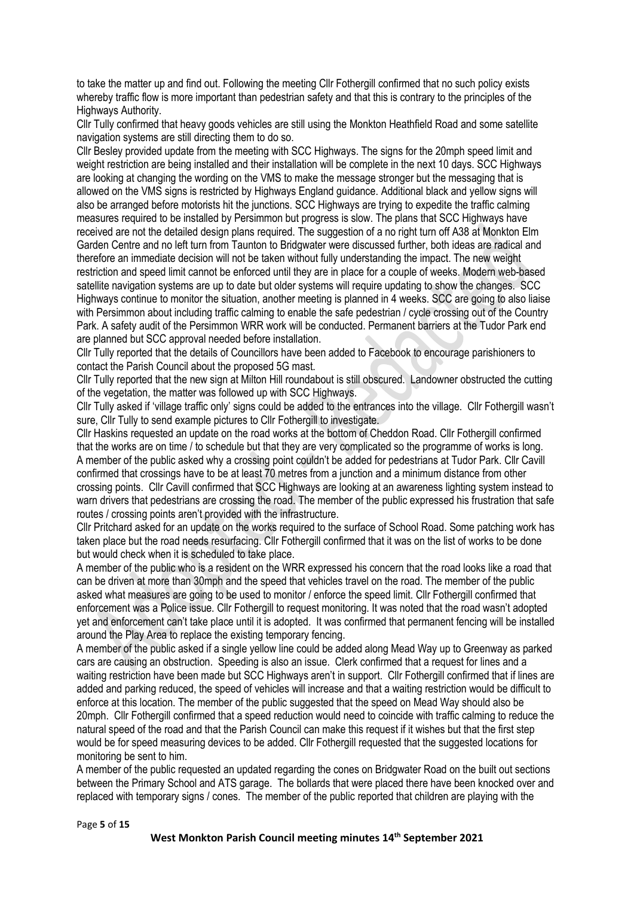to take the matter up and find out. Following the meeting Cllr Fothergill confirmed that no such policy exists whereby traffic flow is more important than pedestrian safety and that this is contrary to the principles of the Highways Authority.

Cllr Tully confirmed that heavy goods vehicles are still using the Monkton Heathfield Road and some satellite navigation systems are still directing them to do so.

Cllr Besley provided update from the meeting with SCC Highways. The signs for the 20mph speed limit and weight restriction are being installed and their installation will be complete in the next 10 days. SCC Highways are looking at changing the wording on the VMS to make the message stronger but the messaging that is allowed on the VMS signs is restricted by Highways England guidance. Additional black and yellow signs will also be arranged before motorists hit the junctions. SCC Highways are trying to expedite the traffic calming measures required to be installed by Persimmon but progress is slow. The plans that SCC Highways have received are not the detailed design plans required. The suggestion of a no right turn off A38 at Monkton Elm Garden Centre and no left turn from Taunton to Bridgwater were discussed further, both ideas are radical and therefore an immediate decision will not be taken without fully understanding the impact. The new weight restriction and speed limit cannot be enforced until they are in place for a couple of weeks. Modern web-based satellite navigation systems are up to date but older systems will require updating to show the changes. SCC Highways continue to monitor the situation, another meeting is planned in 4 weeks. SCC are going to also liaise with Persimmon about including traffic calming to enable the safe pedestrian / cycle crossing out of the Country Park. A safety audit of the Persimmon WRR work will be conducted. Permanent barriers at the Tudor Park end are planned but SCC approval needed before installation.

Cllr Tully reported that the details of Councillors have been added to Facebook to encourage parishioners to contact the Parish Council about the proposed 5G mast.

Cllr Tully reported that the new sign at Milton Hill roundabout is still obscured. Landowner obstructed the cutting of the vegetation, the matter was followed up with SCC Highways.

Cllr Tully asked if 'village traffic only' signs could be added to the entrances into the village. Cllr Fothergill wasn't sure, Cllr Tully to send example pictures to Cllr Fothergill to investigate.

Cllr Haskins requested an update on the road works at the bottom of Cheddon Road. Cllr Fothergill confirmed that the works are on time / to schedule but that they are very complicated so the programme of works is long. A member of the public asked why a crossing point couldn't be added for pedestrians at Tudor Park. Cllr Cavill confirmed that crossings have to be at least 70 metres from a junction and a minimum distance from other crossing points. Cllr Cavill confirmed that SCC Highways are looking at an awareness lighting system instead to warn drivers that pedestrians are crossing the road. The member of the public expressed his frustration that safe routes / crossing points aren't provided with the infrastructure.

Cllr Pritchard asked for an update on the works required to the surface of School Road. Some patching work has taken place but the road needs resurfacing. Cllr Fothergill confirmed that it was on the list of works to be done but would check when it is scheduled to take place.

A member of the public who is a resident on the WRR expressed his concern that the road looks like a road that can be driven at more than 30mph and the speed that vehicles travel on the road. The member of the public asked what measures are going to be used to monitor / enforce the speed limit. Cllr Fothergill confirmed that enforcement was a Police issue. Cllr Fothergill to request monitoring. It was noted that the road wasn't adopted yet and enforcement can't take place until it is adopted. It was confirmed that permanent fencing will be installed around the Play Area to replace the existing temporary fencing.

A member of the public asked if a single yellow line could be added along Mead Way up to Greenway as parked cars are causing an obstruction. Speeding is also an issue. Clerk confirmed that a request for lines and a waiting restriction have been made but SCC Highways aren't in support. Cllr Fothergill confirmed that if lines are added and parking reduced, the speed of vehicles will increase and that a waiting restriction would be difficult to enforce at this location. The member of the public suggested that the speed on Mead Way should also be 20mph. Cllr Fothergill confirmed that a speed reduction would need to coincide with traffic calming to reduce the natural speed of the road and that the Parish Council can make this request if it wishes but that the first step would be for speed measuring devices to be added. Cllr Fothergill requested that the suggested locations for monitoring be sent to him.

A member of the public requested an updated regarding the cones on Bridgwater Road on the built out sections between the Primary School and ATS garage. The bollards that were placed there have been knocked over and replaced with temporary signs / cones. The member of the public reported that children are playing with the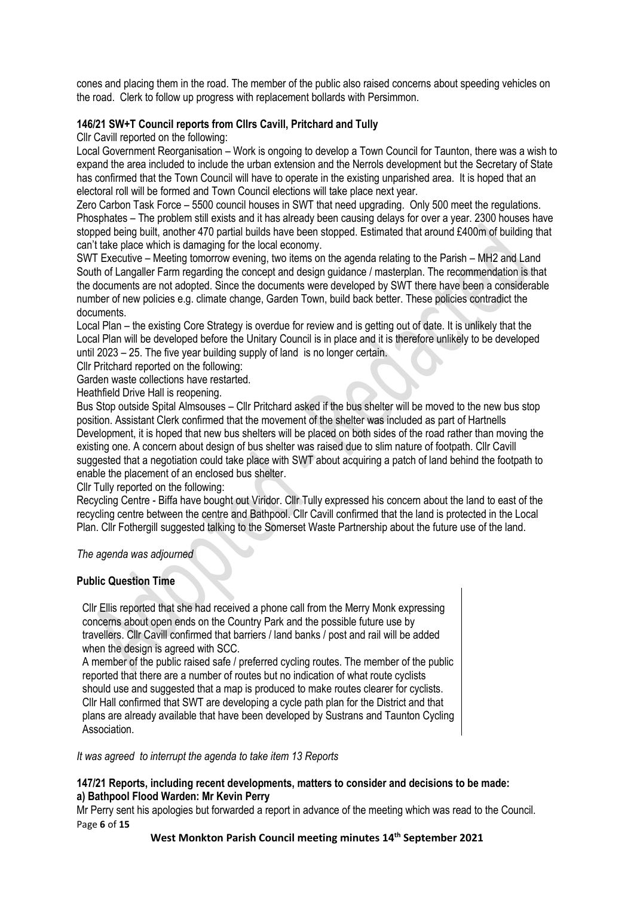cones and placing them in the road. The member of the public also raised concerns about speeding vehicles on the road. Clerk to follow up progress with replacement bollards with Persimmon.

# **146/21 SW+T Council reports from Cllrs Cavill, Pritchard and Tully**

Cllr Cavill reported on the following:

Local Government Reorganisation – Work is ongoing to develop a Town Council for Taunton, there was a wish to expand the area included to include the urban extension and the Nerrols development but the Secretary of State has confirmed that the Town Council will have to operate in the existing unparished area. It is hoped that an electoral roll will be formed and Town Council elections will take place next year.

Zero Carbon Task Force – 5500 council houses in SWT that need upgrading. Only 500 meet the regulations. Phosphates – The problem still exists and it has already been causing delays for over a year. 2300 houses have stopped being built, another 470 partial builds have been stopped. Estimated that around £400m of building that can't take place which is damaging for the local economy.

SWT Executive – Meeting tomorrow evening, two items on the agenda relating to the Parish – MH2 and Land South of Langaller Farm regarding the concept and design guidance / masterplan. The recommendation is that the documents are not adopted. Since the documents were developed by SWT there have been a considerable number of new policies e.g. climate change, Garden Town, build back better. These policies contradict the documents.

Local Plan – the existing Core Strategy is overdue for review and is getting out of date. It is unlikely that the Local Plan will be developed before the Unitary Council is in place and it is therefore unlikely to be developed until 2023 – 25. The five year building supply of land is no longer certain.

Cllr Pritchard reported on the following:

Garden waste collections have restarted.

Heathfield Drive Hall is reopening.

Bus Stop outside Spital Almsouses – Cllr Pritchard asked if the bus shelter will be moved to the new bus stop position. Assistant Clerk confirmed that the movement of the shelter was included as part of Hartnells Development, it is hoped that new bus shelters will be placed on both sides of the road rather than moving the existing one. A concern about design of bus shelter was raised due to slim nature of footpath. Cllr Cavill suggested that a negotiation could take place with SWT about acquiring a patch of land behind the footpath to enable the placement of an enclosed bus shelter.

Cllr Tully reported on the following:

Recycling Centre - Biffa have bought out Viridor. Cllr Tully expressed his concern about the land to east of the recycling centre between the centre and Bathpool. Cllr Cavill confirmed that the land is protected in the Local Plan. Cllr Fothergill suggested talking to the Somerset Waste Partnership about the future use of the land.

*The agenda was adjourned*

# **Public Question Time**

Cllr Ellis reported that she had received a phone call from the Merry Monk expressing concerns about open ends on the Country Park and the possible future use by travellers. Cllr Cavill confirmed that barriers / land banks / post and rail will be added when the design is agreed with SCC.

A member of the public raised safe / preferred cycling routes. The member of the public reported that there are a number of routes but no indication of what route cyclists should use and suggested that a map is produced to make routes clearer for cyclists. Cllr Hall confirmed that SWT are developing a cycle path plan for the District and that plans are already available that have been developed by Sustrans and Taunton Cycling Association.

*It was agreed to interrupt the agenda to take item 13 Reports*

# **147/21 Reports, including recent developments, matters to consider and decisions to be made: a) Bathpool Flood Warden: Mr Kevin Perry**

Page **6** of **15** Mr Perry sent his apologies but forwarded a report in advance of the meeting which was read to the Council.

**West Monkton Parish Council meeting minutes 14 th September 2021**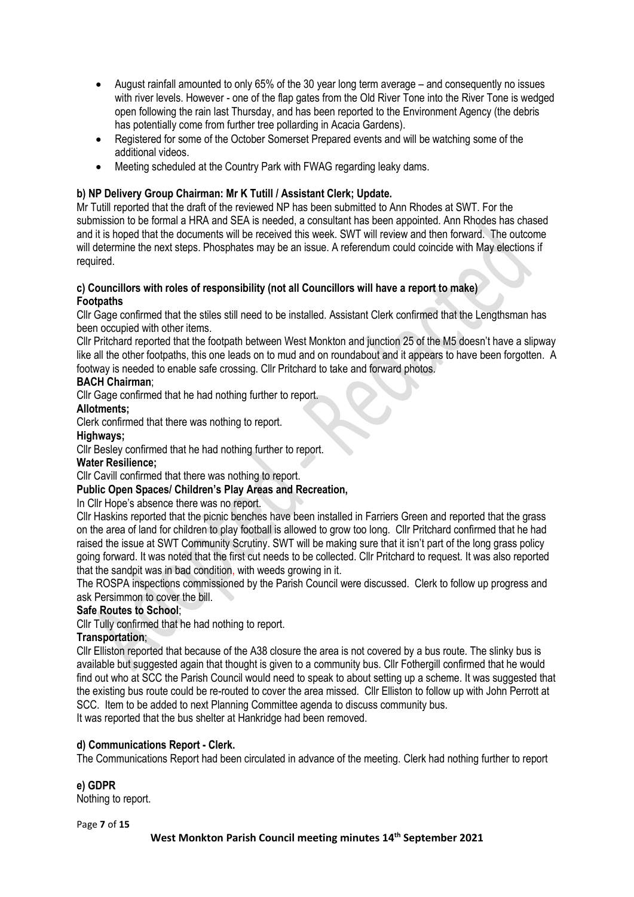- August rainfall amounted to only 65% of the 30 year long term average and consequently no issues with river levels. However - one of the flap gates from the Old River Tone into the River Tone is wedged open following the rain last Thursday, and has been reported to the Environment Agency (the debris has potentially come from further tree pollarding in Acacia Gardens).
- Registered for some of the October Somerset Prepared events and will be watching some of the additional videos.
- Meeting scheduled at the Country Park with FWAG regarding leaky dams.

# **b) NP Delivery Group Chairman: Mr K Tutill / Assistant Clerk; Update.**

Mr Tutill reported that the draft of the reviewed NP has been submitted to Ann Rhodes at SWT. For the submission to be formal a HRA and SEA is needed, a consultant has been appointed. Ann Rhodes has chased and it is hoped that the documents will be received this week. SWT will review and then forward. The outcome will determine the next steps. Phosphates may be an issue. A referendum could coincide with May elections if required.

# **c) Councillors with roles of responsibility (not all Councillors will have a report to make) Footpaths**

Cllr Gage confirmed that the stiles still need to be installed. Assistant Clerk confirmed that the Lengthsman has been occupied with other items.

Cllr Pritchard reported that the footpath between West Monkton and junction 25 of the M5 doesn't have a slipway like all the other footpaths, this one leads on to mud and on roundabout and it appears to have been forgotten. A footway is needed to enable safe crossing. Cllr Pritchard to take and forward photos.

# **BACH Chairman**;

Cllr Gage confirmed that he had nothing further to report.

# **Allotments;**

Clerk confirmed that there was nothing to report.

#### **Highways;**

Cllr Besley confirmed that he had nothing further to report.

#### **Water Resilience;**

Cllr Cavill confirmed that there was nothing to report.

# **Public Open Spaces/ Children's Play Areas and Recreation,**

In Cllr Hope's absence there was no report.

Cllr Haskins reported that the picnic benches have been installed in Farriers Green and reported that the grass on the area of land for children to play football is allowed to grow too long. Cllr Pritchard confirmed that he had raised the issue at SWT Community Scrutiny. SWT will be making sure that it isn't part of the long grass policy going forward. It was noted that the first cut needs to be collected. Cllr Pritchard to request. It was also reported that the sandpit was in bad condition, with weeds growing in it.

The ROSPA inspections commissioned by the Parish Council were discussed. Clerk to follow up progress and ask Persimmon to cover the bill.

# **Safe Routes to School**;

Cllr Tully confirmed that he had nothing to report.

## **Transportation**;

Cllr Elliston reported that because of the A38 closure the area is not covered by a bus route. The slinky bus is available but suggested again that thought is given to a community bus. Cllr Fothergill confirmed that he would find out who at SCC the Parish Council would need to speak to about setting up a scheme. It was suggested that the existing bus route could be re-routed to cover the area missed. Cllr Elliston to follow up with John Perrott at SCC. Item to be added to next Planning Committee agenda to discuss community bus. It was reported that the bus shelter at Hankridge had been removed.

#### **d) Communications Report - Clerk.**

The Communications Report had been circulated in advance of the meeting. Clerk had nothing further to report

# **e) GDPR**

Nothing to report.

Page **7** of **15**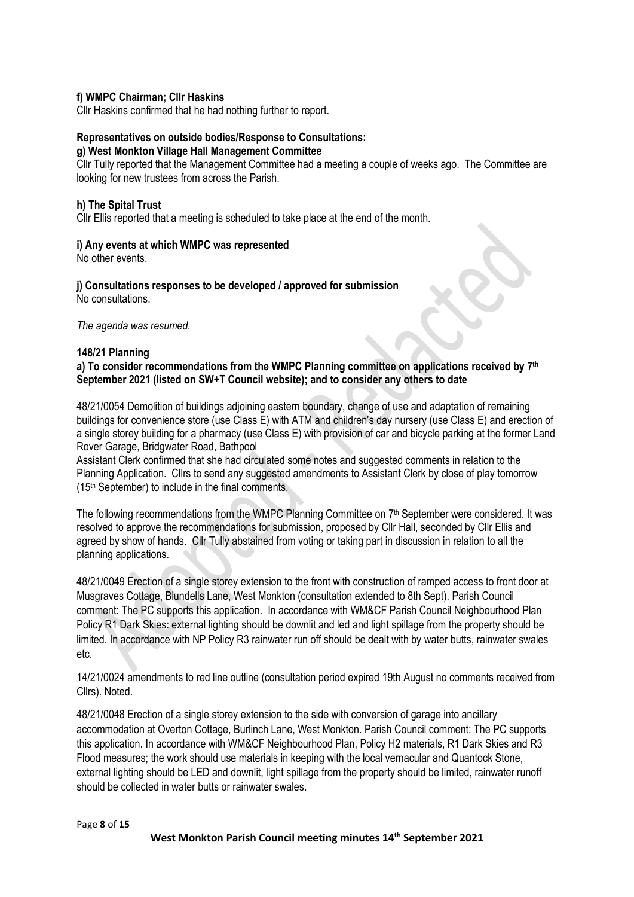# **f) WMPC Chairman; Cllr Haskins**

Cllr Haskins confirmed that he had nothing further to report.

#### **Representatives on outside bodies/Response to Consultations:**

#### **g) West Monkton Village Hall Management Committee**

Cllr Tully reported that the Management Committee had a meeting a couple of weeks ago. The Committee are looking for new trustees from across the Parish.

#### **h) The Spital Trust**

Cllr Ellis reported that a meeting is scheduled to take place at the end of the month.

#### **i) Any events at which WMPC was represented**

No other events.

**j) Consultations responses to be developed / approved for submission** No consultations.

*The agenda was resumed.*

#### **148/21 Planning**

## **a) To consider recommendations from the WMPC Planning committee on applications received by 7 th September 2021 (listed on SW+T Council website); and to consider any others to date**

48/21/0054 Demolition of buildings adjoining eastern boundary, change of use and adaptation of remaining buildings for convenience store (use Class E) with ATM and children's day nursery (use Class E) and erection of a single storey building for a pharmacy (use Class E) with provision of car and bicycle parking at the former Land Rover Garage, Bridgwater Road, Bathpool

Assistant Clerk confirmed that she had circulated some notes and suggested comments in relation to the Planning Application. Cllrs to send any suggested amendments to Assistant Clerk by close of play tomorrow (15th September) to include in the final comments.

The following recommendations from the WMPC Planning Committee on 7<sup>th</sup> September were considered. It was resolved to approve the recommendations for submission, proposed by Cllr Hall, seconded by Cllr Ellis and agreed by show of hands. Cllr Tully abstained from voting or taking part in discussion in relation to all the planning applications.

48/21/0049 Erection of a single storey extension to the front with construction of ramped access to front door at Musgraves Cottage, Blundells Lane, West Monkton (consultation extended to 8th Sept). Parish Council comment: The PC supports this application. In accordance with WM&CF Parish Council Neighbourhood Plan Policy R1 Dark Skies: external lighting should be downlit and led and light spillage from the property should be limited. In accordance with NP Policy R3 rainwater run off should be dealt with by water butts, rainwater swales etc.

14/21/0024 amendments to red line outline (consultation period expired 19th August no comments received from Cllrs). Noted.

48/21/0048 Erection of a single storey extension to the side with conversion of garage into ancillary accommodation at Overton Cottage, Burlinch Lane, West Monkton. Parish Council comment: The PC supports this application. In accordance with WM&CF Neighbourhood Plan, Policy H2 materials, R1 Dark Skies and R3 Flood measures; the work should use materials in keeping with the local vernacular and Quantock Stone, external lighting should be LED and downlit, light spillage from the property should be limited, rainwater runoff should be collected in water butts or rainwater swales.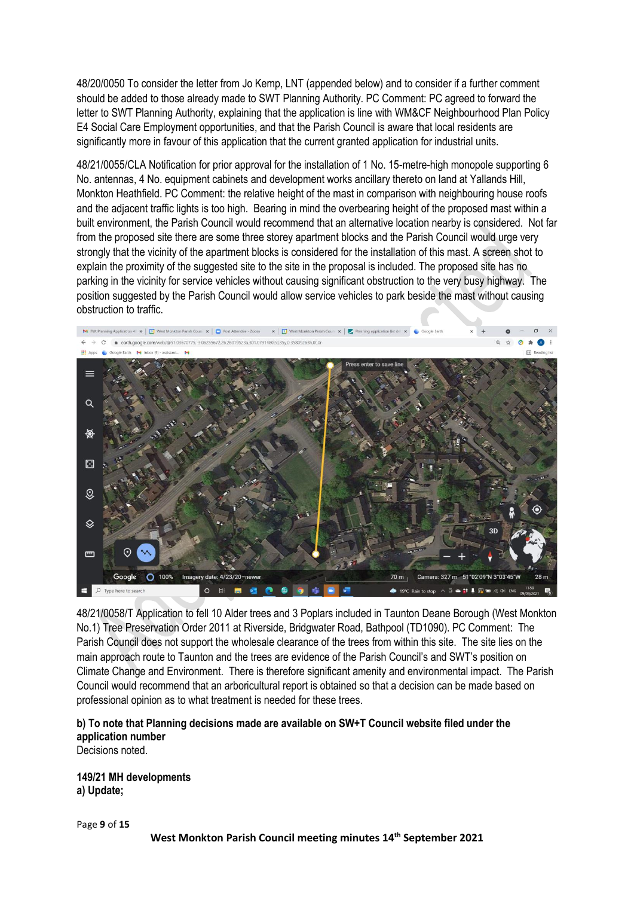48/20/0050 To consider the letter from Jo Kemp, LNT (appended below) and to consider if a further comment should be added to those already made to SWT Planning Authority. PC Comment: PC agreed to forward the letter to SWT Planning Authority, explaining that the application is line with WM&CF Neighbourhood Plan Policy E4 Social Care Employment opportunities, and that the Parish Council is aware that local residents are significantly more in favour of this application that the current granted application for industrial units.

48/21/0055/CLA Notification for prior approval for the installation of 1 No. 15-metre-high monopole supporting 6 No. antennas, 4 No. equipment cabinets and development works ancillary thereto on land at Yallands Hill, Monkton Heathfield. PC Comment: the relative height of the mast in comparison with neighbouring house roofs and the adjacent traffic lights is too high. Bearing in mind the overbearing height of the proposed mast within a built environment, the Parish Council would recommend that an alternative location nearby is considered. Not far from the proposed site there are some three storey apartment blocks and the Parish Council would urge very strongly that the vicinity of the apartment blocks is considered for the installation of this mast. A screen shot to explain the proximity of the suggested site to the site in the proposal is included. The proposed site has no parking in the vicinity for service vehicles without causing significant obstruction to the very busy highway. The position suggested by the Parish Council would allow service vehicles to park beside the mast without causing obstruction to traffic.



48/21/0058/T Application to fell 10 Alder trees and 3 Poplars included in Taunton Deane Borough (West Monkton No.1) Tree Preservation Order 2011 at Riverside, Bridgwater Road, Bathpool (TD1090). PC Comment: The Parish Council does not support the wholesale clearance of the trees from within this site. The site lies on the main approach route to Taunton and the trees are evidence of the Parish Council's and SWT's position on Climate Change and Environment. There is therefore significant amenity and environmental impact. The Parish Council would recommend that an arboricultural report is obtained so that a decision can be made based on professional opinion as to what treatment is needed for these trees.

# **b) To note that Planning decisions made are available on SW+T Council website filed under the application number**

Decisions noted.

**149/21 MH developments a) Update;** 

Page **9** of **15**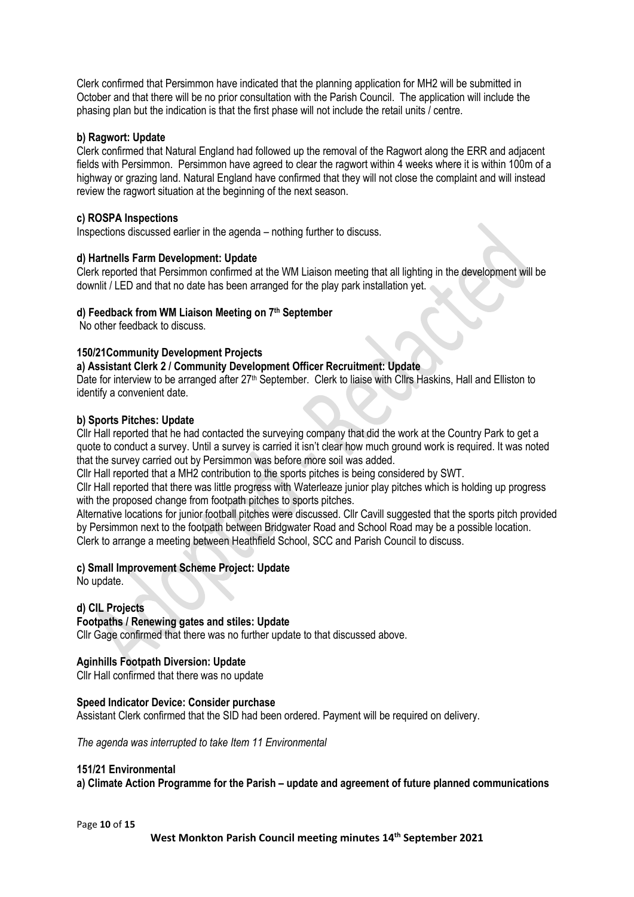Clerk confirmed that Persimmon have indicated that the planning application for MH2 will be submitted in October and that there will be no prior consultation with the Parish Council. The application will include the phasing plan but the indication is that the first phase will not include the retail units / centre.

## **b) Ragwort: Update**

Clerk confirmed that Natural England had followed up the removal of the Ragwort along the ERR and adjacent fields with Persimmon. Persimmon have agreed to clear the ragwort within 4 weeks where it is within 100m of a highway or grazing land. Natural England have confirmed that they will not close the complaint and will instead review the ragwort situation at the beginning of the next season.

## **c) ROSPA Inspections**

Inspections discussed earlier in the agenda – nothing further to discuss.

# **d) Hartnells Farm Development: Update**

Clerk reported that Persimmon confirmed at the WM Liaison meeting that all lighting in the development will be downlit / LED and that no date has been arranged for the play park installation yet.

# **d) Feedback from WM Liaison Meeting on 7 th September**

No other feedback to discuss.

# **150/21Community Development Projects**

# **a) Assistant Clerk 2 / Community Development Officer Recruitment: Update**

Date for interview to be arranged after 27<sup>th</sup> September. Clerk to liaise with Cllrs Haskins, Hall and Elliston to identify a convenient date.

# **b) Sports Pitches: Update**

Cllr Hall reported that he had contacted the surveying company that did the work at the Country Park to get a quote to conduct a survey. Until a survey is carried it isn't clear how much ground work is required. It was noted that the survey carried out by Persimmon was before more soil was added.

Cllr Hall reported that a MH2 contribution to the sports pitches is being considered by SWT.

Cllr Hall reported that there was little progress with Waterleaze junior play pitches which is holding up progress with the proposed change from footpath pitches to sports pitches.

Alternative locations for junior football pitches were discussed. Cllr Cavill suggested that the sports pitch provided by Persimmon next to the footpath between Bridgwater Road and School Road may be a possible location. Clerk to arrange a meeting between Heathfield School, SCC and Parish Council to discuss.

# **c) Small Improvement Scheme Project: Update**

No update.

#### **d) CIL Projects**

# **Footpaths / Renewing gates and stiles: Update**

Cllr Gage confirmed that there was no further update to that discussed above.

#### **Aginhills Footpath Diversion: Update**

Cllr Hall confirmed that there was no update

#### **Speed Indicator Device: Consider purchase**

Assistant Clerk confirmed that the SID had been ordered. Payment will be required on delivery.

*The agenda was interrupted to take Item 11 Environmental*

#### **151/21 Environmental**

**a) Climate Action Programme for the Parish – update and agreement of future planned communications**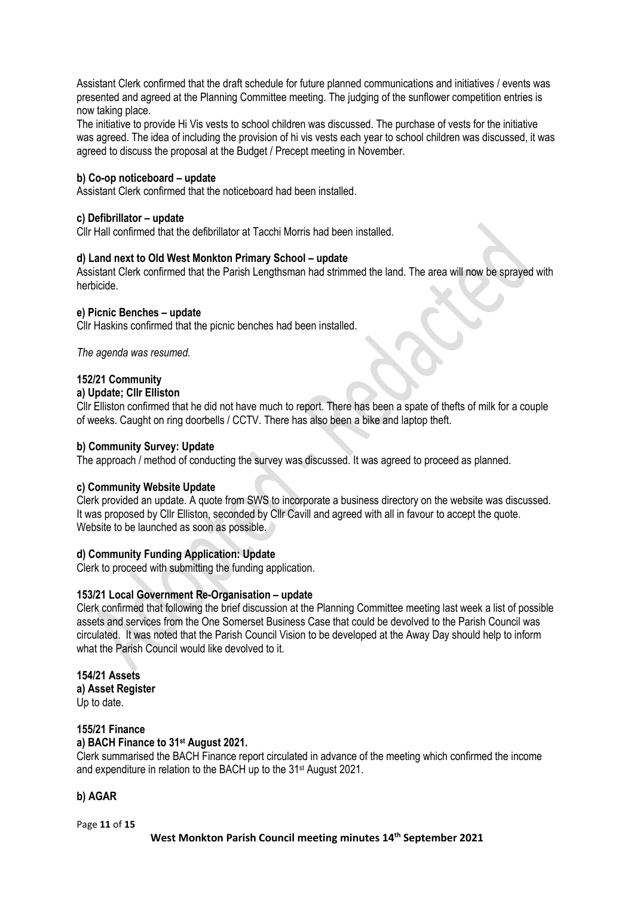Assistant Clerk confirmed that the draft schedule for future planned communications and initiatives / events was presented and agreed at the Planning Committee meeting. The judging of the sunflower competition entries is now taking place.

The initiative to provide Hi Vis vests to school children was discussed. The purchase of vests for the initiative was agreed. The idea of including the provision of hi vis vests each year to school children was discussed, it was agreed to discuss the proposal at the Budget / Precept meeting in November.

## **b) Co-op noticeboard – update**

Assistant Clerk confirmed that the noticeboard had been installed.

#### **c) Defibrillator – update**

Cllr Hall confirmed that the defibrillator at Tacchi Morris had been installed.

#### **d) Land next to Old West Monkton Primary School – update**

Assistant Clerk confirmed that the Parish Lengthsman had strimmed the land. The area will now be sprayed with herbicide.

#### **e) Picnic Benches – update**

Cllr Haskins confirmed that the picnic benches had been installed.

*The agenda was resumed.*

#### **152/21 Community**

#### **a) Update; Cllr Elliston**

Cllr Elliston confirmed that he did not have much to report. There has been a spate of thefts of milk for a couple of weeks. Caught on ring doorbells / CCTV. There has also been a bike and laptop theft.

#### **b) Community Survey: Update**

The approach / method of conducting the survey was discussed. It was agreed to proceed as planned.

#### **c) Community Website Update**

Clerk provided an update. A quote from SWS to incorporate a business directory on the website was discussed. It was proposed by Cllr Elliston, seconded by Cllr Cavill and agreed with all in favour to accept the quote. Website to be launched as soon as possible.

#### **d) Community Funding Application: Update**

Clerk to proceed with submitting the funding application.

#### **153/21 Local Government Re-Organisation – update**

Clerk confirmed that following the brief discussion at the Planning Committee meeting last week a list of possible assets and services from the One Somerset Business Case that could be devolved to the Parish Council was circulated. It was noted that the Parish Council Vision to be developed at the Away Day should help to inform what the Parish Council would like devolved to it.

# **154/21 Assets**

**a) Asset Register**  Up to date.

# **155/21 Finance**

#### **a) BACH Finance to 31 st August 2021.**

Clerk summarised the BACH Finance report circulated in advance of the meeting which confirmed the income and expenditure in relation to the BACH up to the 31<sup>st</sup> August 2021.

#### **b) AGAR**

Page **11** of **15**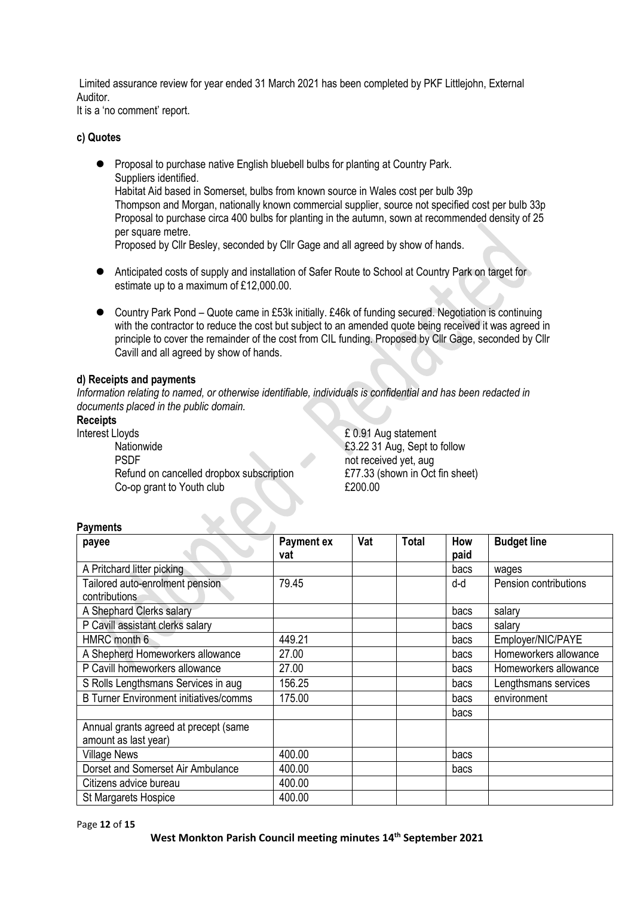Limited assurance review for year ended 31 March 2021 has been completed by PKF Littlejohn, External Auditor.

It is a 'no comment' report.

#### **c) Quotes**

- ⚫ Proposal to purchase native English bluebell bulbs for planting at Country Park. Suppliers identified. Habitat Aid based in Somerset, bulbs from known source in Wales cost per bulb 39p Thompson and Morgan, nationally known commercial supplier, source not specified cost per bulb 33p Proposal to purchase circa 400 bulbs for planting in the autumn, sown at recommended density of 25 per square metre. Proposed by Cllr Besley, seconded by Cllr Gage and all agreed by show of hands.
- Anticipated costs of supply and installation of Safer Route to School at Country Park on target for estimate up to a maximum of £12,000.00.
- Country Park Pond Quote came in £53k initially. £46k of funding secured. Negotiation is continuing with the contractor to reduce the cost but subject to an amended quote being received it was agreed in principle to cover the remainder of the cost from CIL funding. Proposed by Cllr Gage, seconded by Cllr Cavill and all agreed by show of hands.

#### **d) Receipts and payments**

*Information relating to named, or otherwise identifiable, individuals is confidential and has been redacted in documents placed in the public domain.*

## **Receipts**

Interest Lloyds<br>
Nationwide<br>
1992.23 Nationwide<br>
20.91 Aug statement<br>
20.91 Aug statement<br>
20.91 Aug statement Nationwide **E3.22 31 Aug, Sept to follow**<br> **E3.22 31 Aug, Sept to follow**<br> **E3.22 31 Aug, Sept to follow** Refund on cancelled dropbox subscription Co-op grant to Youth club **E200.00** 

not received yet, aug<br>£77.33 (shown in Oct fin sheet)

#### **Payments**

| payee                                         | Payment ex | Vat | <b>Total</b> | How  | <b>Budget line</b>    |
|-----------------------------------------------|------------|-----|--------------|------|-----------------------|
|                                               | vat        |     |              | paid |                       |
| A Pritchard litter picking                    |            |     |              | bacs | wages                 |
| Tailored auto-enrolment pension               | 79.45      |     |              | d-d  | Pension contributions |
| contributions                                 |            |     |              |      |                       |
| A Shephard Clerks salary                      |            |     |              | bacs | salary                |
| P Cavill assistant clerks salary              |            |     |              | bacs | salary                |
| HMRC month 6                                  | 449.21     |     |              | bacs | Employer/NIC/PAYE     |
| A Shepherd Homeworkers allowance              | 27.00      |     |              | bacs | Homeworkers allowance |
| P Cavill homeworkers allowance                | 27.00      |     |              | bacs | Homeworkers allowance |
| S Rolls Lengthsmans Services in aug           | 156.25     |     |              | bacs | Lengthsmans services  |
| <b>B Turner Environment initiatives/comms</b> | 175.00     |     |              | bacs | environment           |
|                                               |            |     |              | bacs |                       |
| Annual grants agreed at precept (same         |            |     |              |      |                       |
| amount as last year)                          |            |     |              |      |                       |
| <b>Village News</b>                           | 400.00     |     |              | bacs |                       |
| Dorset and Somerset Air Ambulance             | 400.00     |     |              | bacs |                       |
| Citizens advice bureau                        | 400.00     |     |              |      |                       |
| St Margarets Hospice                          | 400.00     |     |              |      |                       |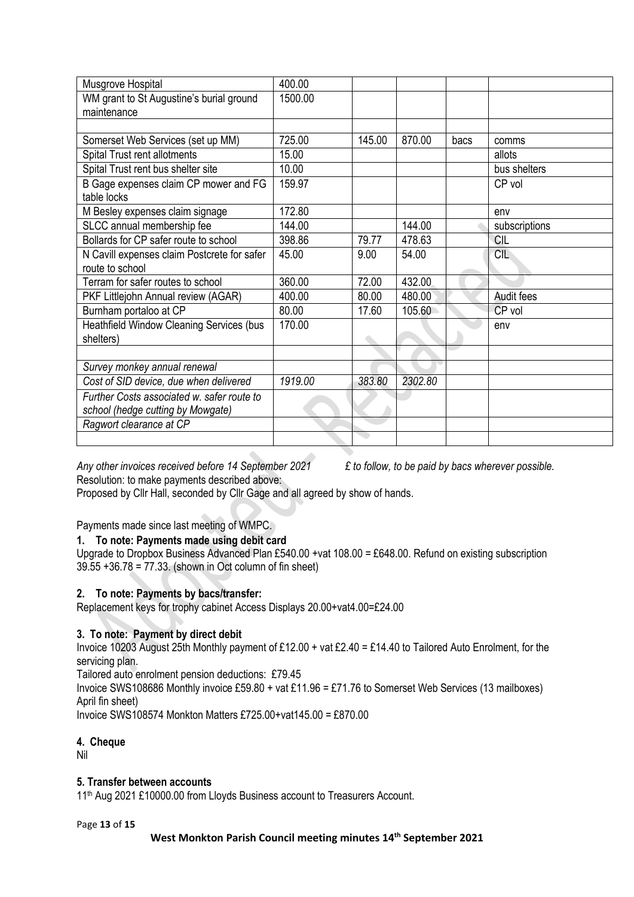| Musgrove Hospital                           | 400.00  |        |         |      |                   |
|---------------------------------------------|---------|--------|---------|------|-------------------|
| WM grant to St Augustine's burial ground    | 1500.00 |        |         |      |                   |
| maintenance                                 |         |        |         |      |                   |
|                                             |         |        |         |      |                   |
| Somerset Web Services (set up MM)           | 725.00  | 145.00 | 870.00  | bacs | comms             |
| Spital Trust rent allotments                | 15.00   |        |         |      | allots            |
| Spital Trust rent bus shelter site          | 10.00   |        |         |      | bus shelters      |
| B Gage expenses claim CP mower and FG       | 159.97  |        |         |      | CP vol            |
| table locks                                 |         |        |         |      |                   |
| M Besley expenses claim signage             | 172.80  |        |         |      | env               |
| SLCC annual membership fee                  | 144.00  |        | 144.00  |      | subscriptions     |
| Bollards for CP safer route to school       | 398.86  | 79.77  | 478.63  |      | CIL               |
| N Cavill expenses claim Postcrete for safer | 45.00   | 9.00   | 54.00   |      | <b>CIL</b>        |
| route to school                             |         |        |         |      |                   |
| Terram for safer routes to school           | 360.00  | 72.00  | 432.00  |      |                   |
| PKF Littlejohn Annual review (AGAR)         | 400.00  | 80.00  | 480.00  |      | <b>Audit fees</b> |
| Burnham portaloo at CP                      | 80.00   | 17.60  | 105.60  |      | CP vol            |
| Heathfield Window Cleaning Services (bus    | 170.00  |        |         |      | env               |
| shelters)                                   |         |        |         |      |                   |
|                                             |         |        |         |      |                   |
| Survey monkey annual renewal                |         |        |         |      |                   |
| Cost of SID device, due when delivered      | 1919.00 | 383.80 | 2302.80 |      |                   |
| Further Costs associated w. safer route to  |         |        |         |      |                   |
| school (hedge cutting by Mowgate)           |         |        |         |      |                   |
| Ragwort clearance at CP                     |         |        |         |      |                   |
|                                             |         |        |         |      |                   |

*Any other invoices received before 14 September 2021 £ to follow, to be paid by bacs wherever possible.* Resolution: to make payments described above:

Proposed by Cllr Hall, seconded by Cllr Gage and all agreed by show of hands.

Payments made since last meeting of WMPC.

# **1. To note: Payments made using debit card**

Upgrade to Dropbox Business Advanced Plan £540.00 +vat 108.00 = £648.00. Refund on existing subscription 39.55 +36.78 = 77.33. (shown in Oct column of fin sheet)

# **2. To note: Payments by bacs/transfer:**

Replacement keys for trophy cabinet Access Displays 20.00+vat4.00=£24.00

# **3. To note: Payment by direct debit**

Invoice 10203 August 25th Monthly payment of £12.00 + vat £2.40 = £14.40 to Tailored Auto Enrolment, for the servicing plan.

Tailored auto enrolment pension deductions: £79.45

Invoice SWS108686 Monthly invoice £59.80 + vat £11.96 = £71.76 to Somerset Web Services (13 mailboxes) April fin sheet)

Invoice SWS108574 Monkton Matters £725.00+vat145.00 = £870.00

# **4. Cheque**

Nil

# **5. Transfer between accounts**

11<sup>th</sup> Aug 2021 £10000.00 from Lloyds Business account to Treasurers Account.

Page **13** of **15**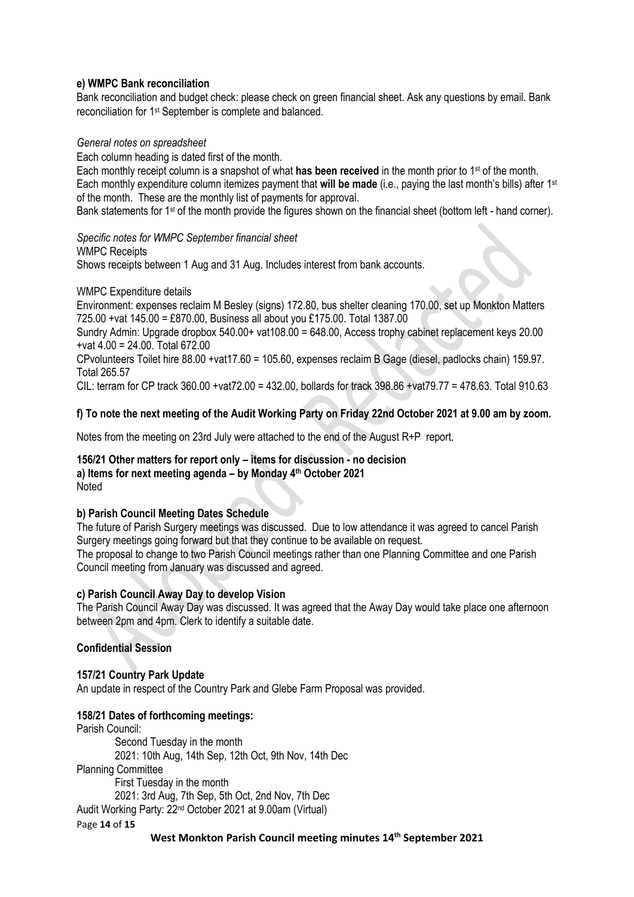# **e) WMPC Bank reconciliation**

Bank reconciliation and budget check: please check on green financial sheet. Ask any questions by email. Bank reconciliation for 1st September is complete and balanced.

# *General notes on spreadsheet*

Each column heading is dated first of the month.

Each monthly receipt column is a snapshot of what **has been received** in the month prior to 1st of the month. Each monthly expenditure column itemizes payment that **will be made** (i.e., paying the last month's bills) after 1st of the month. These are the monthly list of payments for approval.

Bank statements for 1<sup>st</sup> of the month provide the figures shown on the financial sheet (bottom left - hand corner).

*Specific notes for WMPC September financial sheet*  WMPC Receipts

Shows receipts between 1 Aug and 31 Aug. Includes interest from bank accounts.

# WMPC Expenditure details

Environment: expenses reclaim M Besley (signs) 172.80, bus shelter cleaning 170.00, set up Monkton Matters 725.00 +vat 145.00 = £870.00, Business all about you £175.00. Total 1387.00

Sundry Admin: Upgrade dropbox 540.00+ vat108.00 = 648.00, Access trophy cabinet replacement keys 20.00 +vat 4.00 = 24.00. Total 672.00

CPvolunteers Toilet hire 88.00 +vat17.60 = 105.60, expenses reclaim B Gage (diesel, padlocks chain) 159.97. Total 265.57

CIL: terram for CP track 360.00 +vat72.00 = 432.00, bollards for track 398.86 +vat79.77 = 478.63. Total 910.63

# **f) To note the next meeting of the Audit Working Party on Friday 22nd October 2021 at 9.00 am by zoom.**

Notes from the meeting on 23rd July were attached to the end of the August R+P report.

#### **156/21 Other matters for report only – items for discussion - no decision a) Items for next meeting agenda – by Monday 4 th October 2021 Noted**

# **b) Parish Council Meeting Dates Schedule**

The future of Parish Surgery meetings was discussed. Due to low attendance it was agreed to cancel Parish Surgery meetings going forward but that they continue to be available on request. The proposal to change to two Parish Council meetings rather than one Planning Committee and one Parish

Council meeting from January was discussed and agreed.

# **c) Parish Council Away Day to develop Vision**

The Parish Council Away Day was discussed. It was agreed that the Away Day would take place one afternoon between 2pm and 4pm. Clerk to identify a suitable date.

# **Confidential Session**

#### **157/21 Country Park Update**

An update in respect of the Country Park and Glebe Farm Proposal was provided.

# **158/21 Dates of forthcoming meetings:**

Parish Council: Second Tuesday in the month 2021: 10th Aug, 14th Sep, 12th Oct, 9th Nov, 14th Dec Planning Committee First Tuesday in the month

2021: 3rd Aug, 7th Sep, 5th Oct, 2nd Nov, 7th Dec Audit Working Party: 22nd October 2021 at 9.00am (Virtual)

Page **14** of **15**

**West Monkton Parish Council meeting minutes 14 th September 2021**